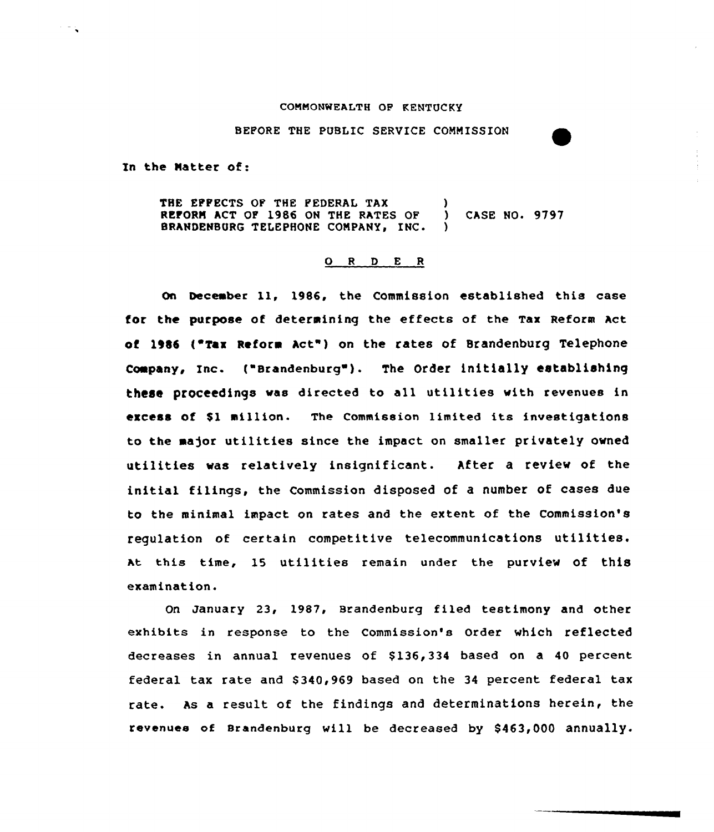#### COMMONWEALTH OF KENTUCKY

BEFORE THE PUBLIC SERVICE COMMISSION

In the Natter of:

 $\mathcal{F}^{\mathcal{G}}$  .

THE EPPECTS OF THE PEDERAL TAX (a)<br>REFORM ACT OF 1986 ON THE RATES OF (b) REPORT ACT OP 1986 ON THe RATES OF ) CASE NO. 9797 BRANDENBURG TELEPHONE COMPANY, INC.

#### 0 <sup>R</sup> <sup>D</sup> E <sup>R</sup>

On December ll, 1986, the Commission established this case for the purpose of determining the effects of the Tax Reform act of 1986 ("Tax Reform Act") on the rates of Brandenburg Telephone company, Inc. ("Brandenburg"). The Order initially establishing these proceedings was directed to all utilities with revenues in excess of \$<sup>1</sup> million. The Commission limited its investigations to the major utilities since the impact on smaller privately owned utilities was relatively insignificant. After a review of the initial filings, the Commission disposed of a number of cases due to the minimal impact on rates and the extent of the Commission's regulation of certain competitive telecommunications utilities. At this time, 15 utilities remain under the purview of this examination.

On January 23, 1987, srandenburg filed testimony and other exhibits in response to the Commission's Order which reflected decreases in annual revenues of \$136,334 based on a 40 percent federal tax rate and \$340,969 based on the 34 percent federal tax rate. As a result of the findings and determinations herein, the revenues of srandenburg vill be decreased by \$463,000 annually.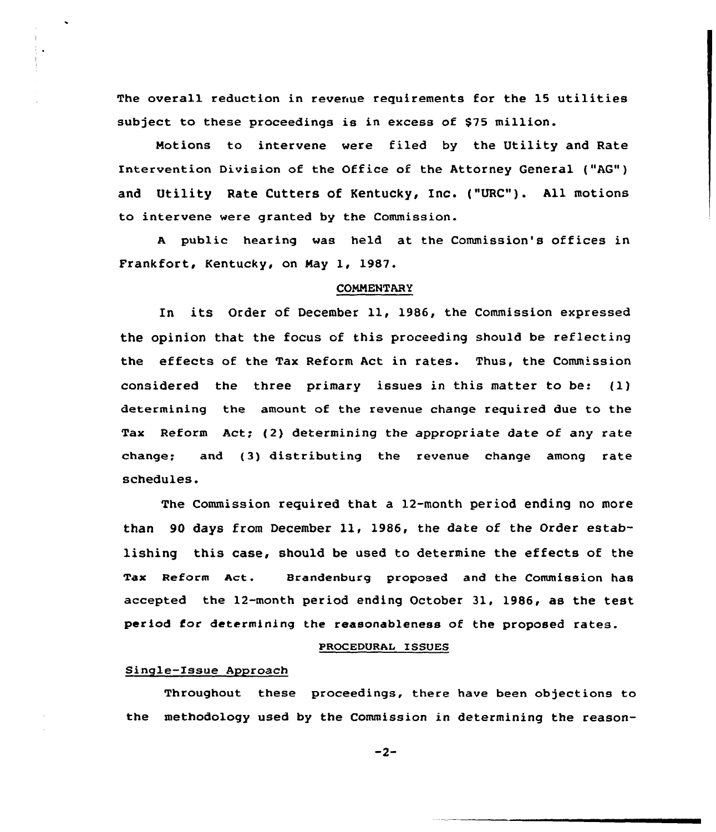The overall reduction in revenue requirements for the 15 utilities subject to these proceedings is in excess of \$75 million.

Motions to intervene were filed by the Utility and Rate Intervention Division of the Office of the Attorney General ("AG") and Utility Rate Cutters of Kentucky, Inc. ("URC"). All motions to intervene were granted by the Commission.

<sup>A</sup> public hearing was held at the Commission's offices in Frankfort, Kentucky, on Nay 1, 1987.

#### **COMMENTARY**

In its Order of December 11, 1986, the Commission expressed the opinion that the focus of this proceeding should be reflecting the effects of the Tax Reform Act in rates. Thus, the Comm'ssion considered the three primary issues in this matter to be: (1) determining the amount of the revenue change required due to the Tax Reform Act; (2) determining the appropriate date of any rate change; and (3) distributing the revenue change among rate schedules.

The Commission required that a 12-month period ending no more than <sup>90</sup> days from December ll, 1986, the date of the Order establishing this case, should be used to determine the effects of the Tax Reform Act. Brandenburg proposed and the Commission has accepted the 12-month period ending October 31, 1986, as the test period for determining the reasonableness of the proposed rates.

#### PROCEDURAL ISSUES

# Single-Issue Approach

Throughout these proceedings, there have been objections to the methodology used by the Commission in determining the reason-

 $-2-$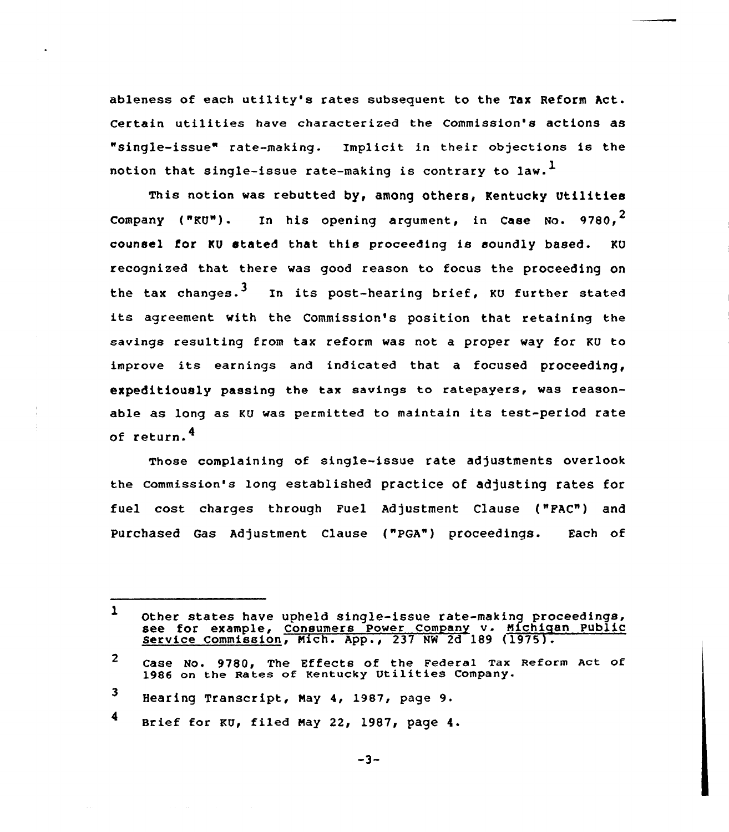ableness of each utility's rates subsequent to the Tax Reform Act. Certain utilities have characterized the Commission's actions as "single-issue" rate-making. Implicit in their objections is the notion that single-issue rate-making is contrary to law.<sup>1</sup>

This notion was rebutted by, among others, Kentucky Utilities Company (" $RU"$ ). In his opening argument, in Case No. 9780,<sup>2</sup> counsel for KU stated that this proceeding is soundly based. KU recognized that there was good reason to focus the proceeding on the tax changes.<sup>3</sup> In its post-hearing brief, KU further stated its agreement with the Commission's position that retaining the savings resulting from tax reform was not a proper way for KU to improve its earnings and indicated that <sup>a</sup> focused proceeding, expeditiously passing the tax savings to ratepayers, was reasonable as long as KU was permitted to maintain its test-period rate of return.<sup>4</sup>

Those complaining of single-issue rate adjustments overlook the Commission's long established practice of adjusting rates for fuel cost charges through Fuel Adjustment Clause ("FAC") and Purchased Gas Adjustment Clause ("PGA") proceedings. Each of

 $\mathbf{1}$ Other states have upheld single-issue rate-making proceedings, See for example, Consumers Power Company v. Michigan Public<br>Service Commission, Mich. App., 237 NW 2d 189 (1975).

 $\overline{2}$ case No. 9780, The Effects of the Federal Tax Reform Act of 1986 on the Rates of Kentucky Utilities company.

<sup>3</sup> Hearing Transcript, Nay 4, 1987, page 9.

<sup>4</sup> Brief for KU, filed May 22, 1987, page 4.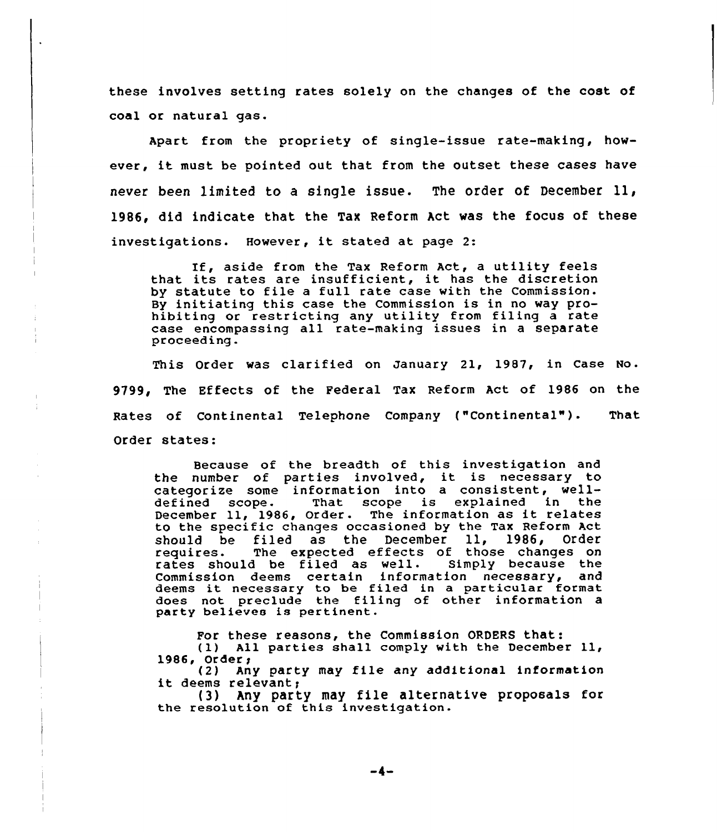these involves setting rates solely on the changes of the cost of coal or natural gas.

Apart from the propriety of single-issue rate-making, however, it must be pointed out that from the outset these cases have never been limited to <sup>a</sup> single issue. The order of December ll, 1986, did indicate that the Tax Reform Act was the focus of these investigations. However, it stated at page 2:

If, aside from the Tax Reform Act, <sup>a</sup> utility feels that its rates are insufficient, it has the discretion by statute to file <sup>a</sup> full rate case with the Commission. By initiating this case the Commission is in no way prohibiting or restricting any utility from filing a rate case encompassing all rate-making issues in <sup>a</sup> separate proceeding.

This Order was clarified on january 21, 1987, in Case No. 9799, The Effects of the Federal Tax Reform Act of 1986 on the Rates of Continental Telephone Company ("Continental"). That Order states:

Because of the breadth of this investigation and the number of parties involved, it is necessary to categorize some information into a consistent, well-<br>defined scope. That scope is explained in the That scope is explained December 11, 1986, Order. The information as it relates to the specific changes occasioned by the Tax Reform Act<br>should be filed as the December 11. 1986, Order should be filed as the December 11,<br>requires. The expected effects of those The expected effects of those changes on rates should be filed as well. Simply because the Commission deems certain information necessary, and deems it necessary to be filed in <sup>a</sup> particular format does not preclude the filing of other information a party believes is pertinent.

For these reasons, the Commission ORDERS that:

(1) All parties shall comply with the December 11, 1986, Order,

(2) Any party may file any additional information<br>it deems relevant;<br>(3) Any party may file alternative proposals for

Any party may file alternative proposals for the resolution of this investigation.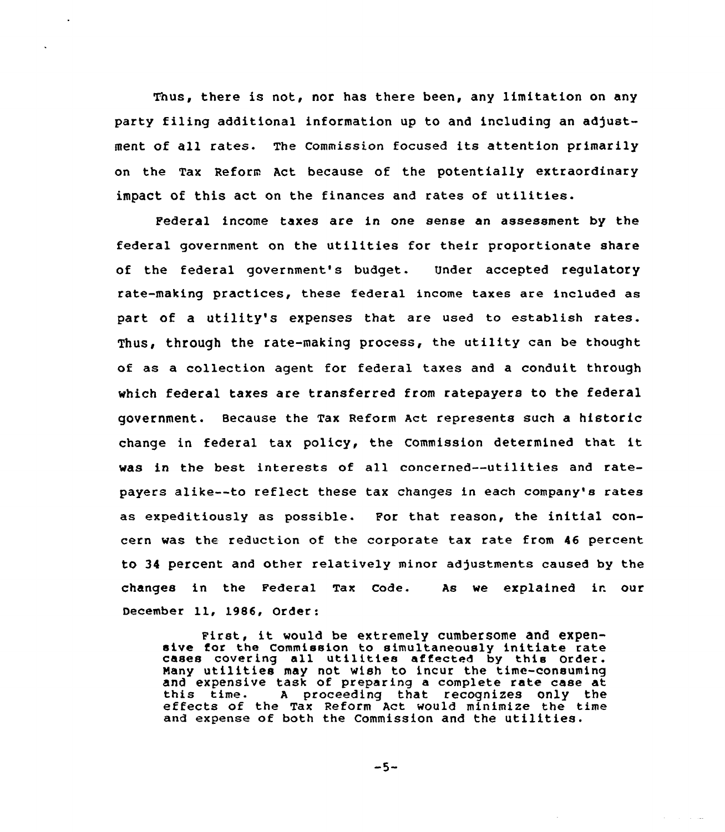Thus, there is not, nor has there been, any limitation on any party filing additional information up to and including an adjustment of all rates. The Commission focused its attention primarily on the Tax Reform Act because of the potentially extraordinary impact of this act on the finances and rates of utilities.

Federal income taxes are in one sense an assessment by the federal government on the utilities for their proportionate share of the federal government's budget. Under accepted regulatory rate-making practices, these federal income taxes are included as part of a utility's expenses that are used to establish rates. Thus, through the rate-making process, the utility can be thought of as a collection agent for federal taxes and a conduit through which federal taxes are transferred from ratepayers to the federal government. Because the Tax Reform Act represents such a historic change in federal tax policy, the Commission determined that it was in the best interests of all concerned--utilities and ratepayers alike--to reflect these tax changes in each company's rates as expeditiously as possible. For that reason, the initial concern was the reduction of the corporate tax rate from 46 percent to 34 percent and other relatively minor adjustments caused by the changes in the Federal Tax cade. As we explained in our December 11, 1986, Order:

First, it would be extremely cumbersome and expensive for the Commission to simultaneously initiate rate cases cavering all utilities affected by this Order. Many utilities may not wish to incur the time-consuming and expensive task of preparing a complete rate case at this time. A proceeding that recognizes only the effects of the Tax Reform Act would minimize the time and expense of both the Commission and the utilities.

 $-5-$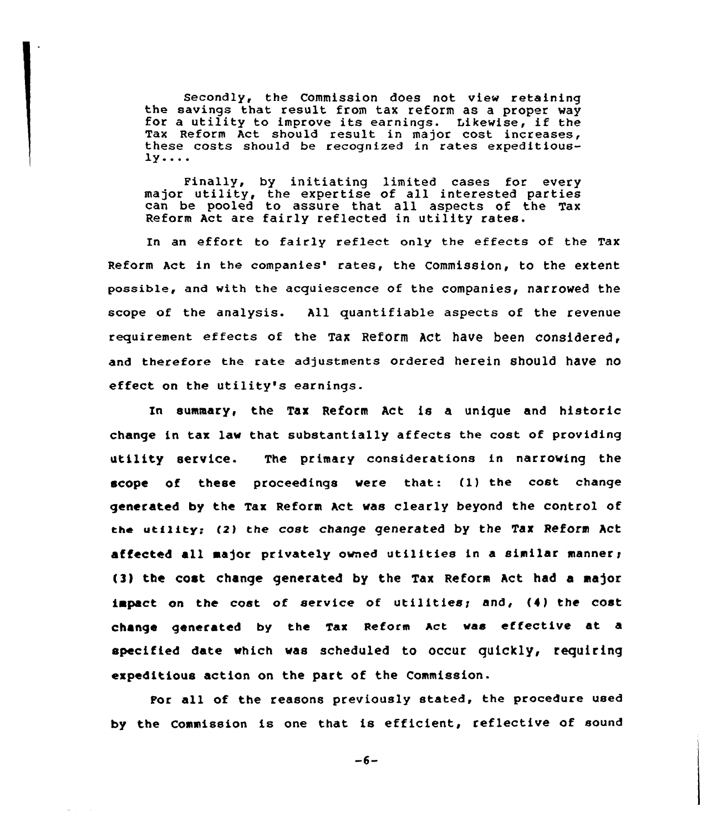Secondly, the Commission does not view retaining<br>the savings that result from tax reform as a proper way for a utility to improve its earnings. Likewise, if the Tax Reform Act should result in major cost increases, these costs should be recognized in rates expeditious- $1y...$ 

Finally, by initiating limited cases for every major utility, the expertise of all interested partie can be pooled to assure that all aspects of the Tax Reform Act are fairly reflected in utility rates.

In an effort to fairly reflect only the effects of the Tax Reform Act in the companies' rates, the Commission, to the extent possible, and with the acquiescence of the companies, narrowed the scope of the analysis. All quantifiable aspects of the revenue reguirement effects of the Tax Reform Act have been considered and therefore the rate adjustments ordered herein should have no effect on the utility's earnings.

In summary, the Tax Reform Act is a unique and historic change in tax lav that substantially affects the cost of providing utility service. The primary considerations in narroving the scope of these proceedings vere that: (1} the cost change generated by the Tax Reform Act vas clearly beyond the control of the utility: (2} the cost change generated by the Tax Reform Act affected all major privately owned utilities in a similar manner; (3) the cost change generated by the Tax Reform Act had a major impact on the cost of service of utilities; and, (4) the cost change generated by the Tax Reform Act vas effective at a specified date vhich vas scheduled to occur quickly, requiring expeditious action on the part of the Commission.

For all of the reasons previously stated, the procedure used by the Commission is one that is efficient, reflective of sound

 $-6-$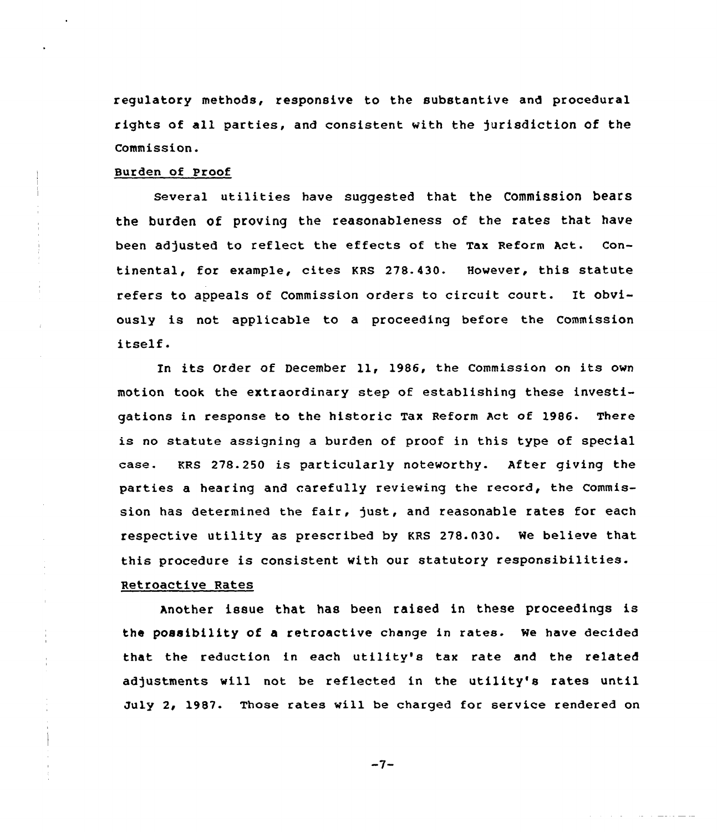regulatory methods, responsive to the substantive and procedural rights of all parties, and consistent with the jurisdiction of the Commission.

#### Burden of Proof

Several utilities have suggested that the Commission bears the burden of proving the reasonableness of the rates that have been adjusted to reflect the effects of the Tax Reform Act. Continental, for example, cites KRS 278.430. However, this statute refers to appeals of Commission orders to circuit court. It obviously is not applicable to a proceeding before the Commission itself.

In its Order of December 11, 1986, the Commission on its own motion took the extraordinary step of establishing these investigations in response to the historic Tax Reform Act of 1986. There is no statute assigning a burden of proof in this type of special case. KRs 278.250 is particularly noteworthy. After giving the parties a hearing and carefully reviewing the record, the Commission has determined the fair, just, and reasonable rates for each respective utility as prescribed by KRS 278.030. We believe that this procedure is consistent with our statutory responsibilities.

# Retroactive Rates

 $\pm$ 

Another issue that has been raised in these proceedings is the possibility of <sup>a</sup> retroactive change in rates. we have decided that the reduction in each utility's tax rate and the related adjustments will not be reflected in the utility's rates until July 2, 1987. Those rates vill be charged for service rendered on

 $-7-$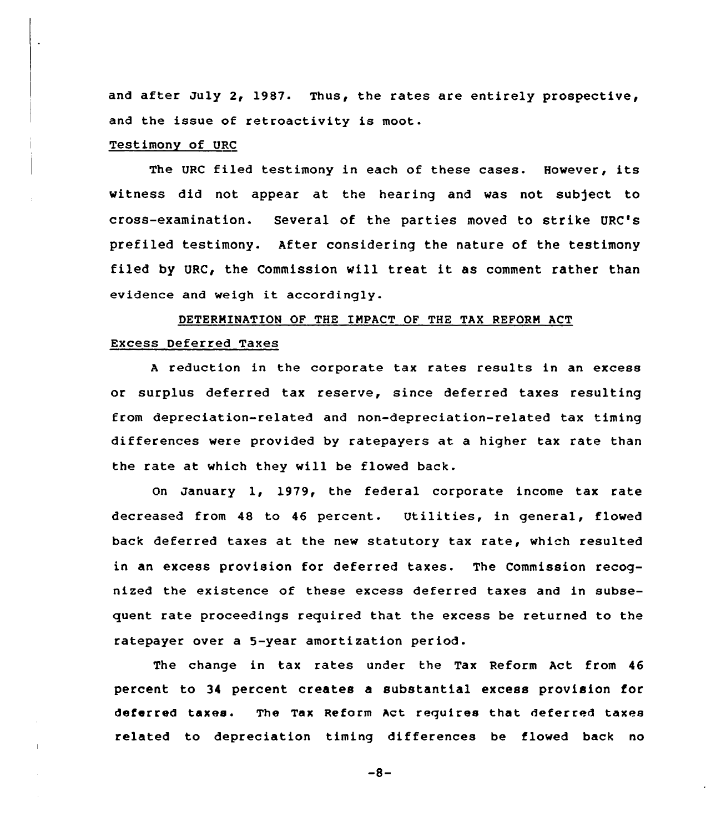and after July 2, 1987. Thus, the rates are entirely prospective, and the issue of retroactivity is moot.

#### Testimony of URC

The URC filed testimony in each of these cases. However, its witness did not appear at the hearing and was not subject to cross-examination. Several of the parties moved to strike URC's prefiled testimony. After considering the nature of the testimony filed by URC, the Commission will treat it as comment rather than evidence and weigh it accordingly.

# DETERMINATION OF THE IMPACT OF THE TAX REFORM ACT Excess Deferred Taxes

<sup>A</sup> reduction in the corporate tax rates results in an excess or surplus deferred tax reserve, since deferred taxes resulting from depreciation-related and non-depreciation-related tax timing differences were provided by ratepayers at a higher tax rate than the rate at which they will be flowed back.

On January 1, 1979, the federal corporate income tax rate decreased from 48 to 46 percent. Utilities, in general, flowed back deferred taxes at the new statutory tax rate, which resulted in an excess provision for deferred taxes. The Commission recognized the existence of these excess deferred taxes and in subsequent rate proceedings required that the excess be returned to the ratepayer over a 5-year amortization period.

The change in tax rates under the Tax Reform Act from 46 percent to 34 percent creates a substantial excess provision for deferred taxes. The Tax Reform Act requires that deferred taxes related to depreciation timing differences be flowed back no

 $-8-$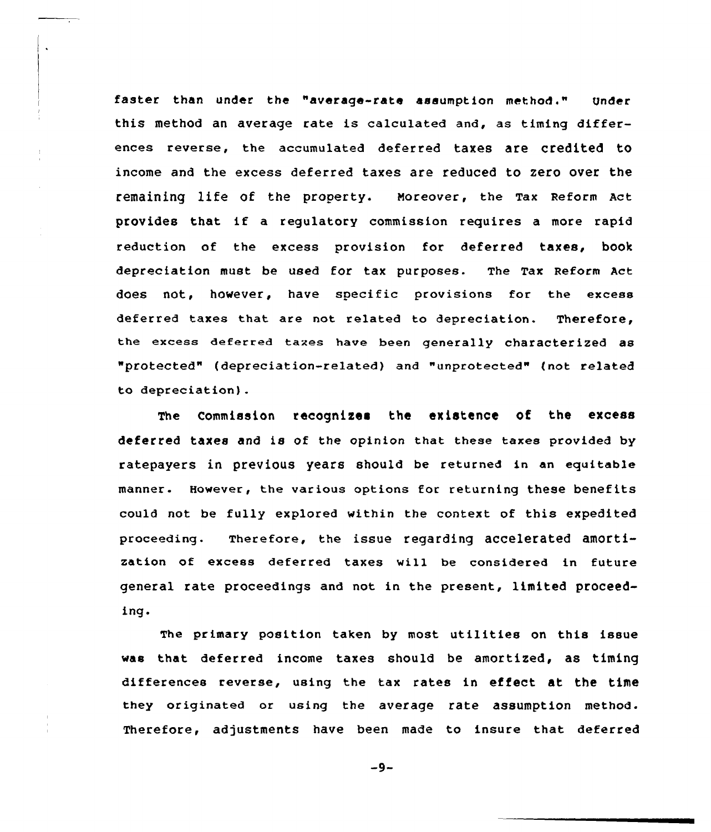faster than under the "average-rate assumption method." Under this method an average rate is calculated and, as timing differences reverse, the accumulated deferred taxes are credited to income and the excess deferred taxes are reduced to zero over the remaining life of the property. Noreover, the Tax Reform Act provides that if <sup>a</sup> regulatory commission requires <sup>a</sup> more rapid reduction of the excess provision for deferred taxes, book depreciation must be used for tax purposes. The Tax Reform Act does not, however, have specific provisions for the excess deferred taxes that are not related to depreciation. Therefore, the excese deferred taxes have been generally characterized as "protected" (depreciation-related) and "unprotected" {not related to depreciation).

 $\ddot{\phantom{a}}$ 

The Commission recognizes the existence of the excess deferred taxes and is of the opinion that these taxes provided by ratepayers in previous years should be returned in an equitable manner. However, the various options for returning these benefits could not be fully explored within the context of this expedited proceeding. Therefore, the issue regarding accelerated amortization of excess deferred taxes vill be considered in future general rate proceedings and not in the present, limited proceeding.

The primary position taken by most utilities on this issue was that deferred income taxes should be amortized, as timing differences reverse, using the tax rates in effect at the time they originated or using the average rate assumption method. Therefore, adjustments have been made to insure that deferred

 $-9-$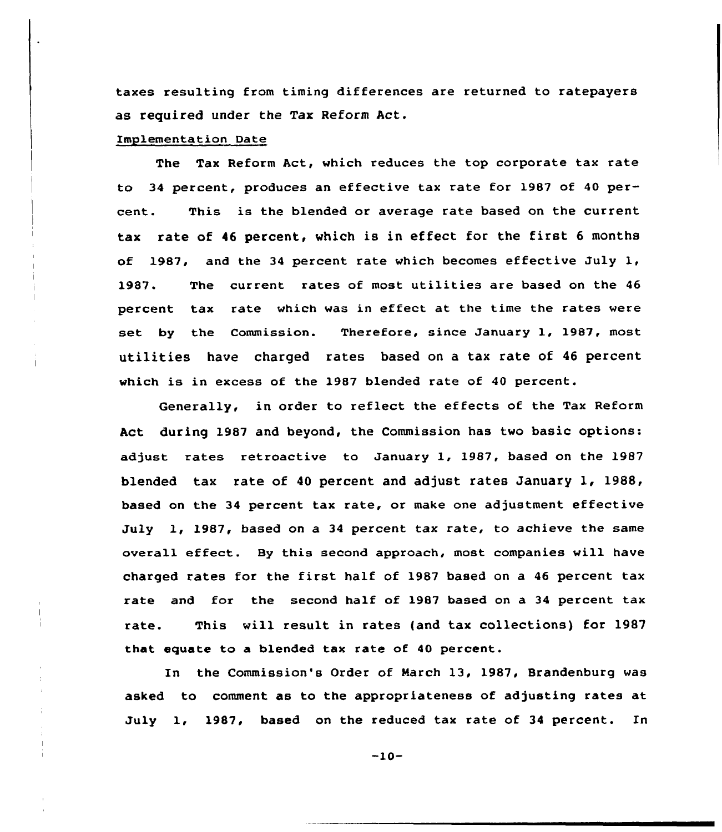taxes resulting from timing differences are returned to ratepayers as required under the Tax Reform Act.

### Implementation Date

The Tax Reform Act, which reduces the top corporate tax rate to 34 percent, produces an effective tax rate for 1987 of 40 percent. This is the blended or average rate based on the current tax rate of <sup>46</sup> percent, which is in effect for the first <sup>6</sup> months of 1987, and the 34 percent rate which becomes effective July  $1$ , 1987. The current rates af most utilities are based on the 46 percent tax rate which was in effect at the time the rates were set by the Commission. Therefore, since January 1, 1987, most utilities have charged rates based on a tax rate of <sup>46</sup> percent which is in excess of the 1987 blended rate of 40 percent.

Generally, in order to reflect the effects of the Tax Reform Act during 1987 and beyond, the Commission has two basic options: adjust rates retroactive to January 1, 1987, based on the 1987 blended tax rate of <sup>40</sup> percent and adjust rates January 1, 1988, based on the 34 percent tax rate, or make one adjustment effective July 1, 1987, based on a 34 percent tax rate, to achieve the same overall effect. By this second approach, most companies will have charged rates for the first half of 1987 based on a <sup>46</sup> percent tax rate and for the second half of 1987 based on a 34 percent tax rate. This will result in rates {and tax collections) for 1987 that equate to a blended tax rate of 40 percent.

In the Commission's Order of March 13, 1987, Brandenburg was asked to comment as to the appropriateness of adjusting rates at July 1, 1987, based on the reduced tax rate of 34 percent. In

-10-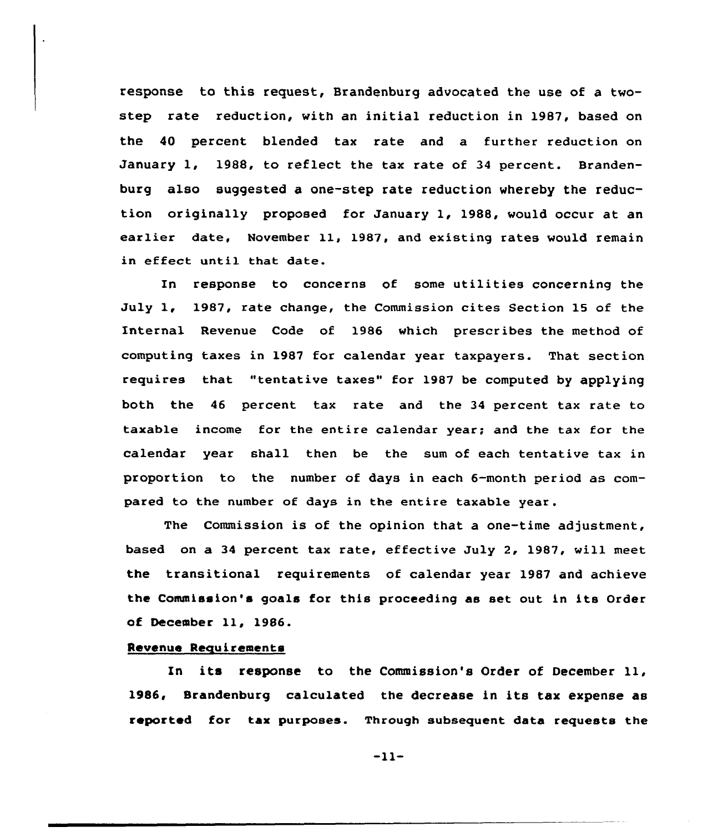response to this request, Brandenburg advocated the use of a twostep rate reduction, with an initial reduction in 1987, based on the 40 percent blended tax rate and a further reduction on January 1, 1988, to reflect the tax rate of 34 percent. Brandenburg also suggested a one-step rate reduction whereby the reduction originally proposed for January 1, 1988, would occur at an earlier date, November ll, 1987, and existing rates would remain in effect until that date.

In response to concerns of some utilities concerning the July 1, 1987, rate change, the Commission cites Section 15 of the Internal Revenue Code of 1986 which prescribes the method of computing taxes in 1987 for calendar year taxpayers. That section requires that "tentative taxes" for 1987 be computed by applying both the 46 percent tax rate and the 34 percent tax rate to taxable income for the entire calendar year; and the tax for the calendar year shall then be the sum of each tentative tax in proportion to the number of days in each 6-month period as compared to the number of days in the entire taxable year.

The Commission is of the opinion that a one-time adjustment, based on a 34 percent tax rate, effective July 2, 1987, will meet the transitional requirements of calendar year 1987 and achieve the Commission's goals for this proceeding as set out in its Order of December ll, 1986.

# Revenue Requirements

In its response to the Commission's Order of December ll, 1986, Srandenburg calculated the decrease in its tax expense as reported for tax purposes. Through subsequent data requests the

 $-11-$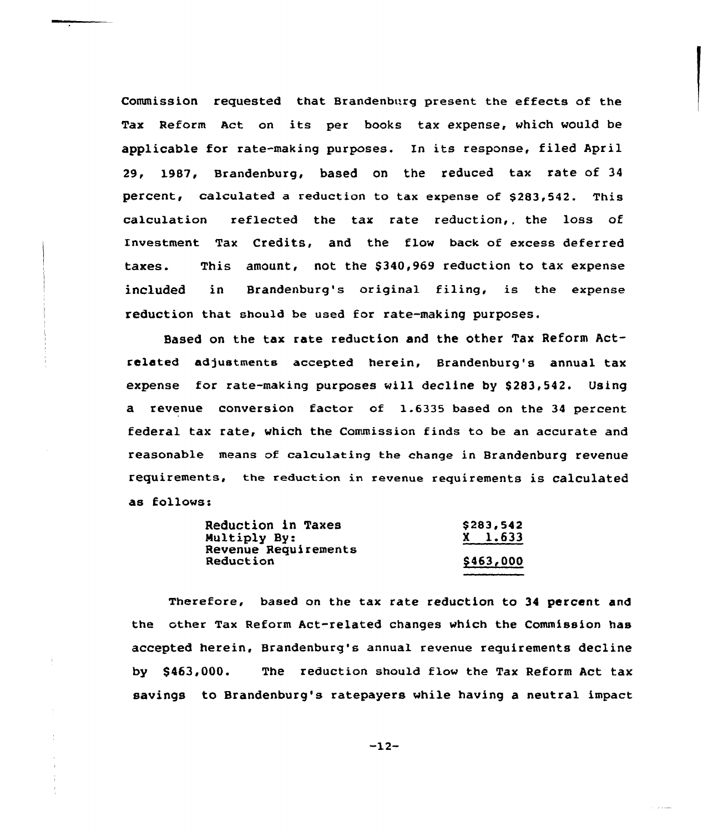Commission requested that Brandenburg present the effects of the Tax Reform Act on its per books tax expense, which would be applicable for rate-making purposes. Xn its response, filed April 29, 1987, Brandenburg, based on the reduced tax rate of 34 percent, calculated a reduction to tax expense of \$283,542. This calculation reflected the tax rate reduction,, the loss of Investment Tax Credits, and the flow back of excess deferred taxes. This amount, not the \$ 340,969 reduction to tax expense included in Brandenburg's original filing, is the expense reduction that should be used for rate-making purposes.

Based on the tax rate reduction and the other Tax Reform Actrelated adjustments accepted herein, Brandenburg's annual tax expense for rate-making purposes will decline by \$283,542. Using a revenue conversion factor of 1.6335 based on the 34 percent federal tax rate, which the Commission finds to be an accurate and reasonable means of calculating the change in Brandenburg revenue requirements, the reduction in revenue requirements is calculated as follows:

| Reduction in Taxes   | \$283,542   |
|----------------------|-------------|
| Multiply By:         | $X = 1.633$ |
| Revenue Requirements |             |
| Reduction            | \$463,000   |

Therefore, based on the tax rate reduction to 34 percent and the other Tax Reform Act-related changes which the Commission has accepted herein, Brandenburg's annual revenue requirements decline by \$463,000. The reduction should flow the Tax Reform Act tax savings to Brandenburg's ratepayers while having a neutral impact

 $-12-$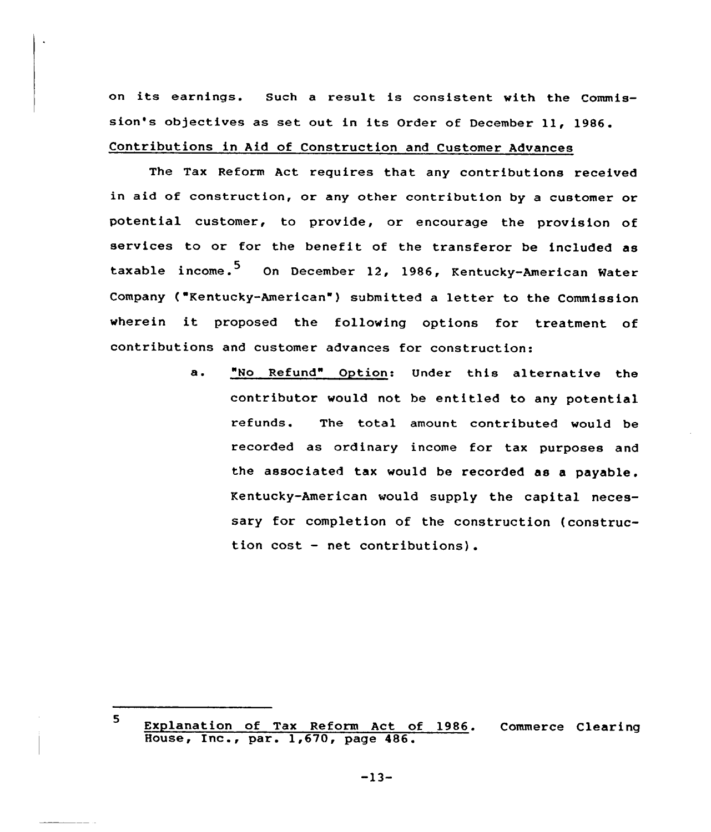on its earnings. Such <sup>a</sup> result is consistent with the Commission's objectives as set out in its Order of December 11, 1986. Contributions in Aid of Construction and Customer Advances

The Tax Reform Act requires that any contributions received in aid of construction, or any other contribution by a customer or potential customer, to provide, or encourage the provision of services to or for the benefit of the transferor be included as taxable income.<sup>5</sup> On December 12, 1986, Kentucky-American Water Company ("Kentucky-American") submitted a letter to the Commission wherein it proposed the following options for treatment of contributions and customer advances for construction:

> a. "No Refund" Option: Under this alternative the contributor would not be entitled to any potential refunds. The total amount contributed would be recorded as ordinary income for tax purposes and the associated tax would be recorded as a payable. Kentucky-American would supply the capital necessary for completion of the construction (construction cost — net contributions).

-13-

<sup>5</sup> Explanation of Tax Reform Act of 1986. Commerce Clearing House, Inc., par. 1,670, page 486.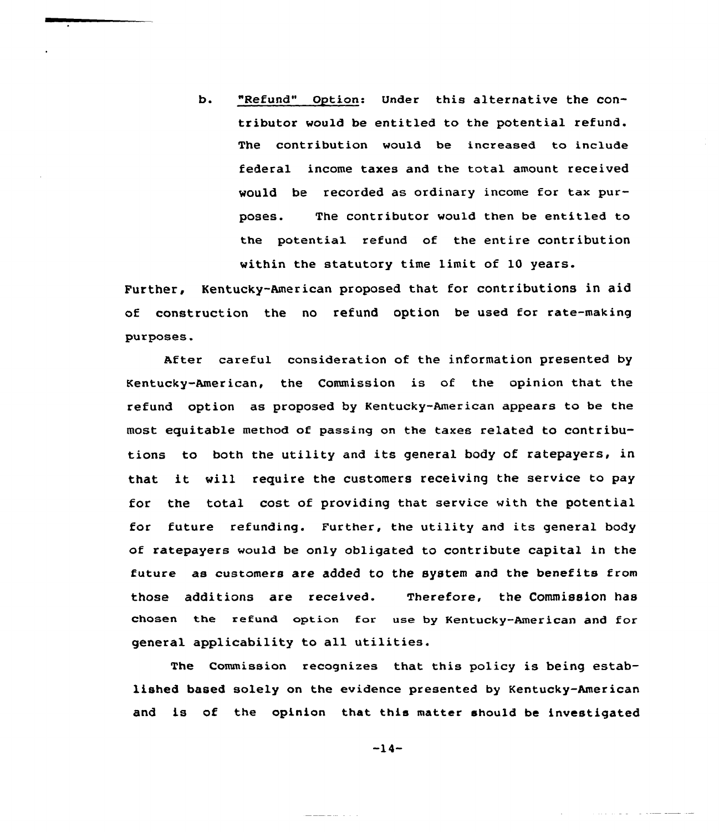b. "Refund" Option: Under this alternative the contributor would be entitled to the potential refund. The contribution would be increased to include federal income taxes and the total amount received would be recorded as ordinary income for tax purposes. The contributor would then be entitled to the potential refund of the entire contribution within the statutory time limit of 10 years.

Further, Kentucky-American proposed that for contributions in aid of construction the no refund option be used for rate-making purposes.

After careful consideration of the information presented by Kentucky-American, the Commission is of the opinion that the refund option as proposed by Kentucky-American appears to be the most equitable method of passing on the taxes related to contributions to both the utility and its general body of ratepayers, in that it will require the customers receiving the service to pay for the total cost of providing that service with the potential for future refunding. Further, the utility and its general body of ratepayers would be only obligated to contribute capital in the future as customers are added to the system and the benefits from those additions are received. Therefore, the Commission has chosen the refund option for use by Kentucky-American and for general applicability to all utilities.

The Commission recognizes that this policy is being established based solely on the evidence presented by Kentucky-American and is of the opinion that this matter should be investigated

 $-14-$ 

المنابي والمستنقذ والمستنقذ والمتعاد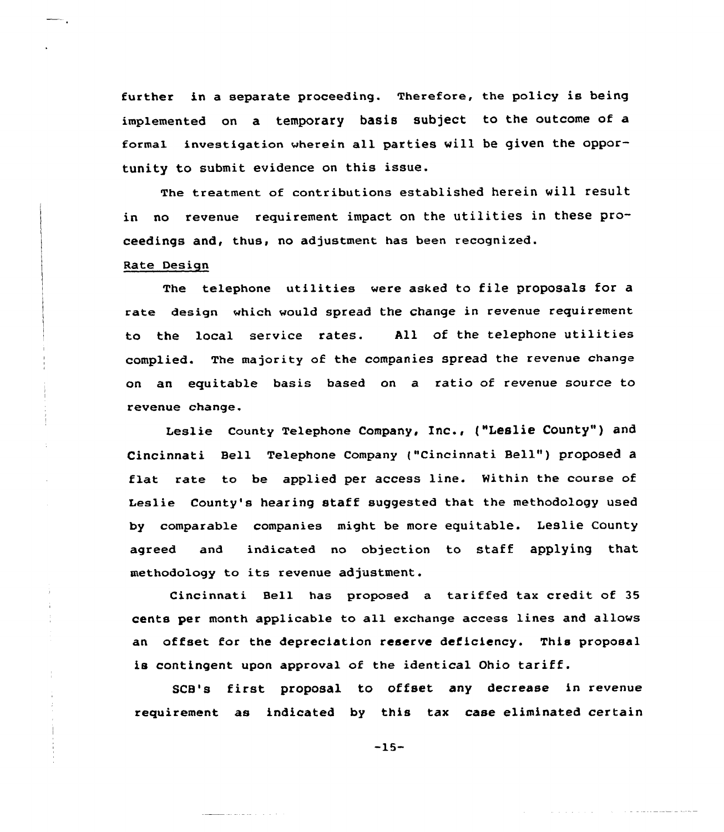further in a separate proceeding. Therefore, the policy is being implemented on a temporary basis subject to the outcome of a formal investigation wherein all parties will be given the opportunity to submit evidence on this issue.

The treatment of contributions established herein will result in no revenue requirement impact on the utilities in these proceedings and, thus, no adjustment has been recognized.

## Rate Design

÷.

The telephone utilities were asked to file proposals for a rate design which would spread the change in revenue requirement to the local service rates. All of the telephone utilities complied. The majority of the companies spread the revenue change on an equitable basis based on a ratio of revenue source to revenue change.

Leslie county Telephone company, Inc., ("Leslie county" ) and Cincinnati Bell Telephone Company ("Cincinnati Bell" ) proposed <sup>a</sup> flat rate to be applied per access line. Within the course of Ieslie County's hearing staff suggested that the methodology used by comparable companies might be more equitable. Leslie County agreed and indicated no objection to staff applying that methodology to its revenue adjustment.

Cincinnati Bell has proposed a tariffed tax credit of 35 cents per month applicable to all exchange access lines and allows an offset for the depreciation reserve deficiency. This proposal is contingent upon approval of the identical Ohio tariff.

SCB's first proposal to offset any decrease in revenue requirement as indicated by this tax case eliminated certain

-15-

المتعارف المتعاطية والمحالة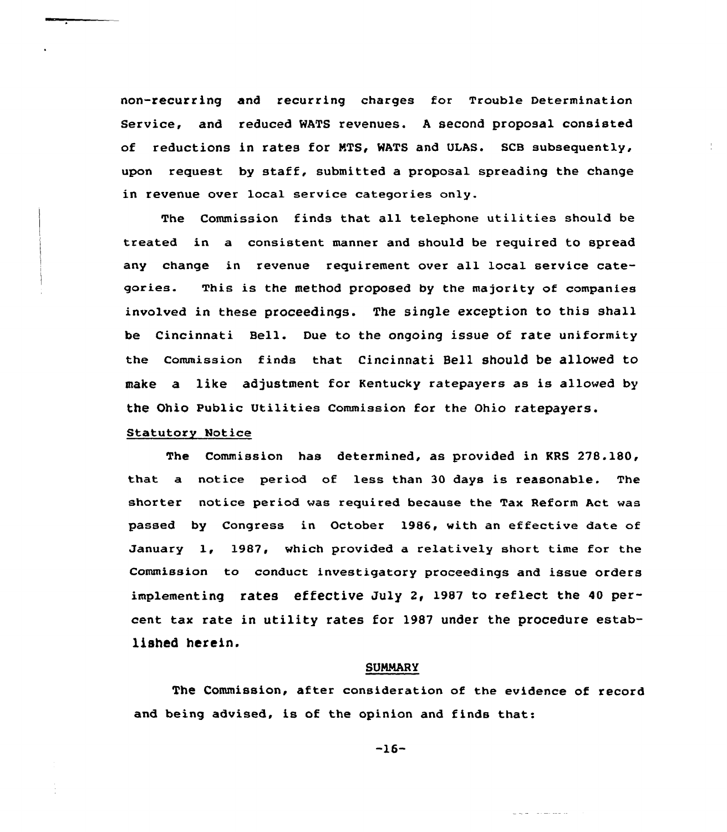non-recurring and recurring charges for Trouble Determination Service, and reduced WATS revenues. <sup>A</sup> second proposal consisted of reductions in rates for KTS, WATS and ULAS. SCB subsequently, upon request by staff, submitted a proposal spreading the change in revenue over local service categories only.

The Commission finds that all telephone utilities should be treated in a consistent manner and should be required to spread any change in revenue requirement over all local service categories. This is the method proposed by the majority of companies involved in these proceedings. The single exception to this shall be Cincinnati Bell. Due to the ongoing issue of rate uniformity the Commission finds that Cincinnati Bell should be allowed to make a like adjustment for Kentucky ratepayers as is allowed by the Ohio Public Utilities Commission for the Ohio ratepayers.

## Statutory Notice

The Commission has determined, as provided in KRS 278.180, that a notice period of less than 30 days is reasonable. The shorter notice period was required because the Tax Reform Act was passed by Congress in October 1986, with an effective date of January 1, 1987, which provided a relatively short time for the Commission to conduct investigatory proceedings and issue orders implementing rates effective July 2, 1987 to reflect the 40 percent tax rate in utility rates for 1987 under the procedure established herein.

#### SUMMARY

The Commission, after consideration of the evidence of record and being advised, is of the opinion and finds that:

-16-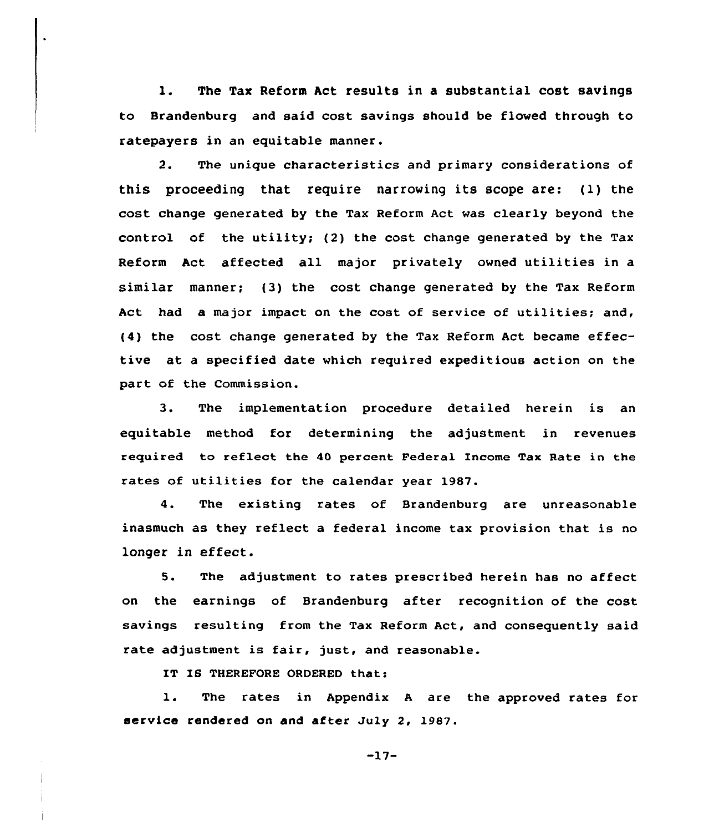l. The Tax Reform Act results in <sup>a</sup> substantial cost savings to Brandenburg and said cost savings should be flowed through to ratepayers in an equitable manner.

2. The unique characteristics and primary considerations of this proceeding that require narrowing its scope are: (l) the cost change generated by the Tax Reform Act was clearly beyond the control of the utility; (2) the cost change generated by the Tax Reform Act affected all major privately owned utilities in a similar manner; (3) the cost change generated by the Tax Reform Act had a major impact on the cost of service of utilities; and, (4) the cost change generated by the Tax Reform Act became effective at a specified date which required expeditious action on the part of the Commission.

3. The implementation procedure detailed herein is an equitable method for determining the adjustment in revenues required to reflect the 40 percent Federal Income Tax Rate in the rates of utilities for the calendar year 1987.

4. The existing rates of Brandenburg are unreasonable inasmuch as they reflect a federal income tax provision that is no longer in effect.

5. The adjustment to rates prescribed herein has no affect on the earnings of Brandenburg after recognition of the cost savings resulting from the Tax Reform Act, and consequently said rate adjustment is fair, just, and reasonable.

IT IS THEREFORE ORDERED that:

1. The rates in Appendix <sup>A</sup> are the approved rates for service rendered on and after July 2, 1987.

-17-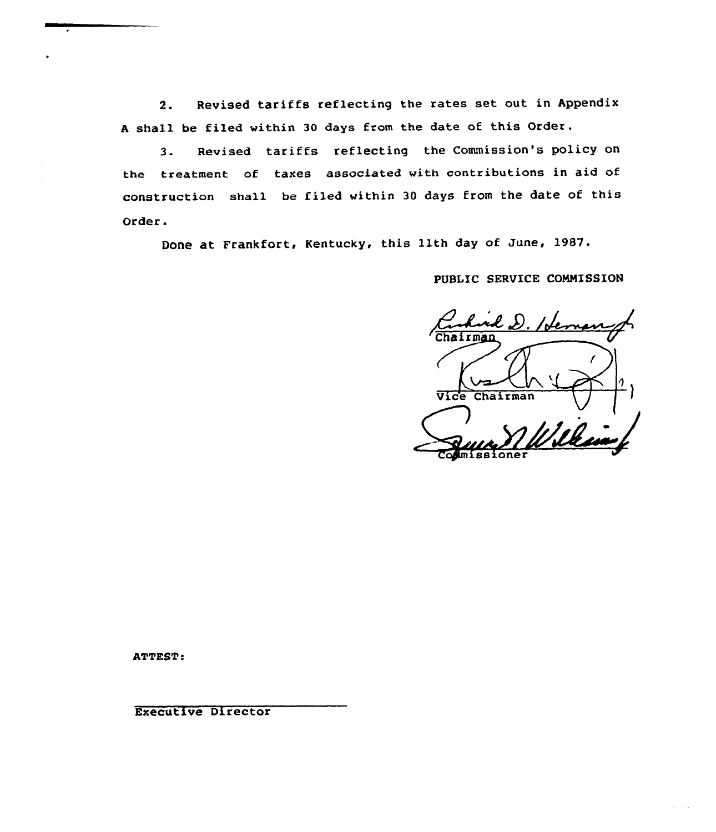2. Revised tariffs reflecting the rates set out in Appendix <sup>A</sup> shall be filed within 30 days from the date of this Order.

3. Revised tariffs reflecting the Commission's policy on the treatment of taxes associated with contributions in aid of construction shall be filed within 30 days from the date of this Order.

Done at Frankfort, Kentucky, this 11th day of June, 1987.

PUBLIC SERVICE COMMISSION

hairman Vice Chairman Commissione

ATTEST:

Executive Director